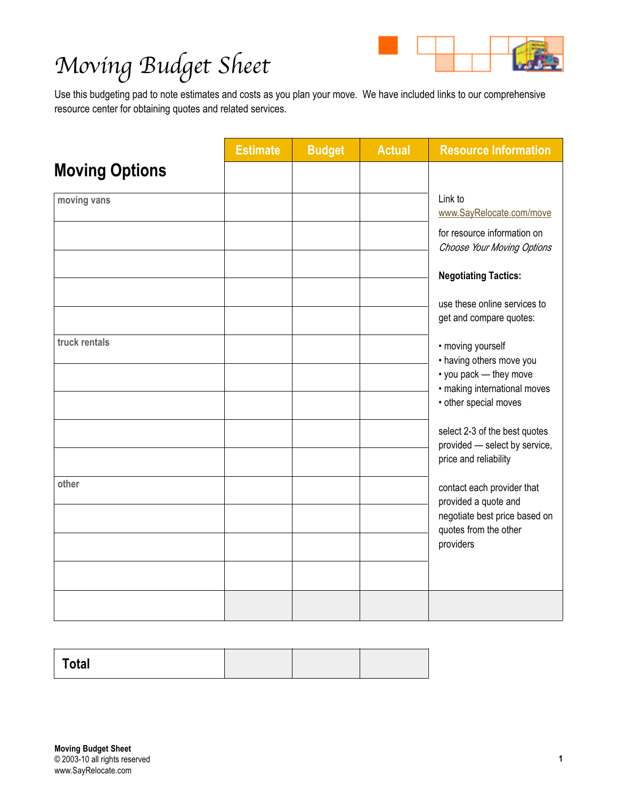

|                       | <b>Estimate</b> | <b>Budget</b> | <b>Actual</b> | <b>Resource Information</b>                                                                             |
|-----------------------|-----------------|---------------|---------------|---------------------------------------------------------------------------------------------------------|
| <b>Moving Options</b> |                 |               |               |                                                                                                         |
| moving vans           |                 |               |               | Link to<br>www.SayRelocate.com/move                                                                     |
|                       |                 |               |               | for resource information on<br>Choose Your Moving Options                                               |
|                       |                 |               |               | <b>Negotiating Tactics:</b>                                                                             |
|                       |                 |               |               | use these online services to<br>get and compare quotes:                                                 |
| truck rentals         |                 |               |               | • moving yourself<br>• having others move you<br>• you pack - they move<br>· making international moves |
|                       |                 |               |               | • other special moves                                                                                   |
|                       |                 |               |               | select 2-3 of the best quotes<br>provided - select by service,<br>price and reliability                 |
| other                 |                 |               |               | contact each provider that<br>provided a quote and                                                      |
|                       |                 |               |               | negotiate best price based on<br>quotes from the other                                                  |
|                       |                 |               |               | providers                                                                                               |
|                       |                 |               |               |                                                                                                         |
|                       |                 |               |               |                                                                                                         |

| <b>Total</b> |  |  |
|--------------|--|--|
|              |  |  |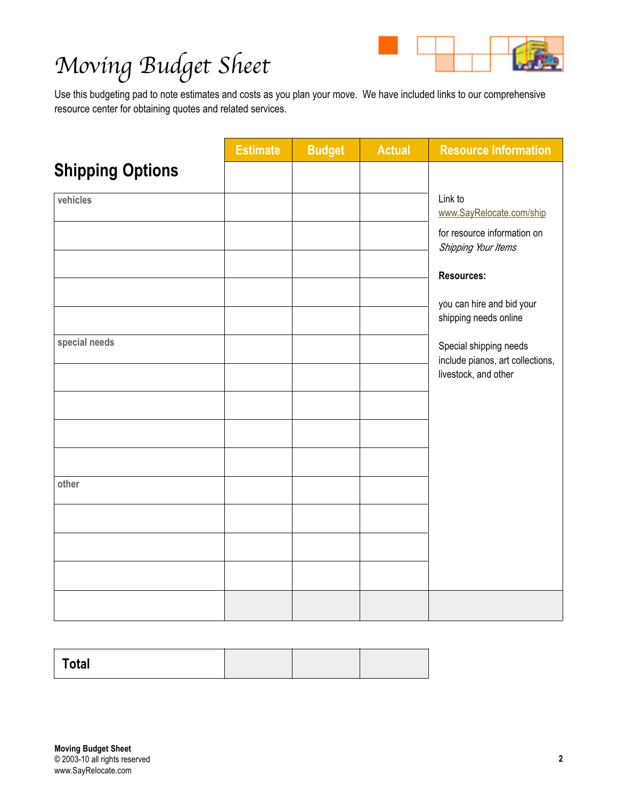

|                         | <b>Estimate</b> | <b>Budget</b> | <b>Actual</b> | <b>Resource Information</b>                                                        |
|-------------------------|-----------------|---------------|---------------|------------------------------------------------------------------------------------|
| <b>Shipping Options</b> |                 |               |               |                                                                                    |
| vehicles                |                 |               |               | Link to<br>www.SayRelocate.com/ship                                                |
|                         |                 |               |               | for resource information on<br>Shipping Your Items                                 |
|                         |                 |               |               | <b>Resources:</b>                                                                  |
|                         |                 |               |               | you can hire and bid your<br>shipping needs online                                 |
| special needs           |                 |               |               | Special shipping needs<br>include pianos, art collections,<br>livestock, and other |
|                         |                 |               |               |                                                                                    |
|                         |                 |               |               |                                                                                    |
|                         |                 |               |               |                                                                                    |
| other                   |                 |               |               |                                                                                    |
|                         |                 |               |               |                                                                                    |
|                         |                 |               |               |                                                                                    |
|                         |                 |               |               |                                                                                    |
|                         |                 |               |               |                                                                                    |

| Total |  |  |
|-------|--|--|
|       |  |  |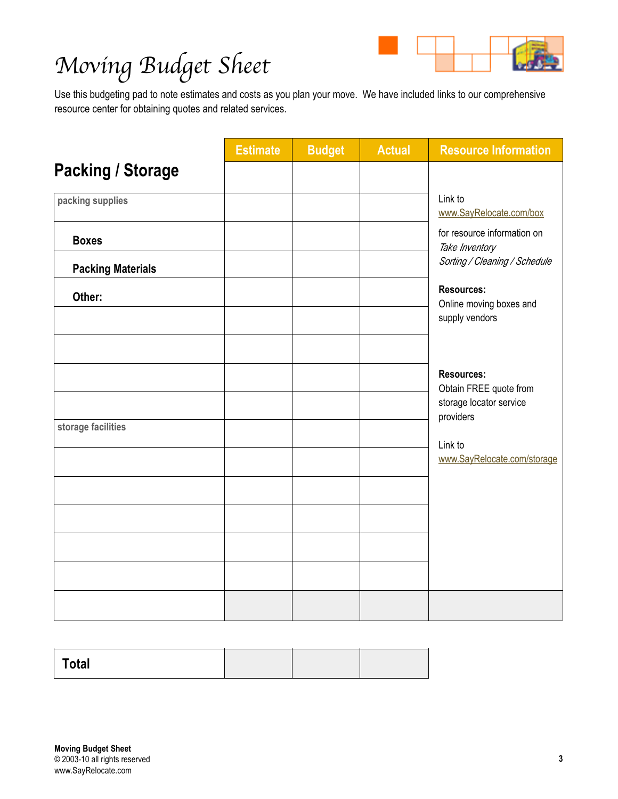

|                          | <b>Estimate</b> | <b>Budget</b> | <b>Actual</b> | <b>Resource Information</b>                                            |
|--------------------------|-----------------|---------------|---------------|------------------------------------------------------------------------|
| <b>Packing / Storage</b> |                 |               |               |                                                                        |
| packing supplies         |                 |               |               | Link to<br>www.SayRelocate.com/box                                     |
| <b>Boxes</b>             |                 |               |               | for resource information on<br>Take Inventory                          |
| <b>Packing Materials</b> |                 |               |               | Sorting / Cleaning / Schedule                                          |
| Other:                   |                 |               |               | <b>Resources:</b><br>Online moving boxes and<br>supply vendors         |
|                          |                 |               |               | <b>Resources:</b><br>Obtain FREE quote from<br>storage locator service |
| storage facilities       |                 |               |               | providers<br>Link to                                                   |
|                          |                 |               |               | www.SayRelocate.com/storage                                            |
|                          |                 |               |               |                                                                        |
|                          |                 |               |               |                                                                        |
|                          |                 |               |               |                                                                        |
|                          |                 |               |               |                                                                        |

| Total |  |  |
|-------|--|--|
|       |  |  |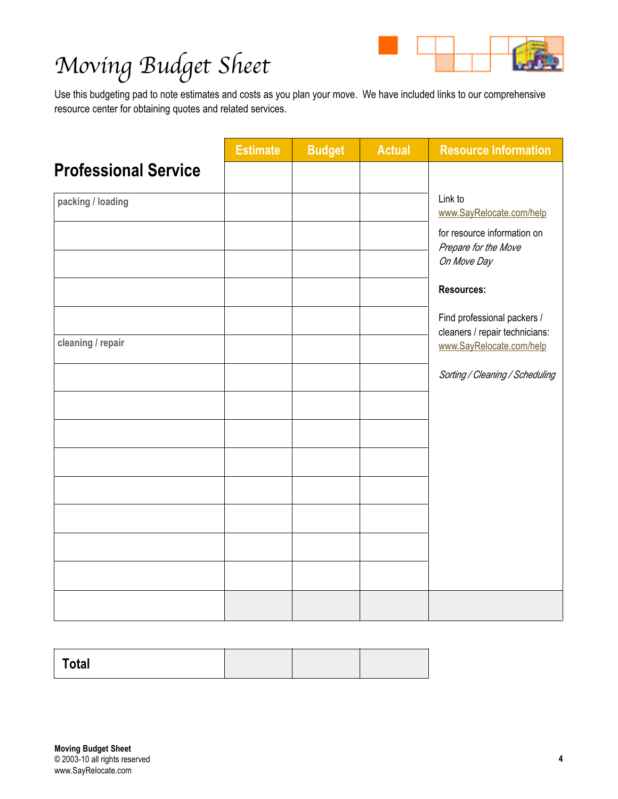

|                             | <b>Estimate</b> | <b>Budget</b> | <b>Actual</b> | <b>Resource Information</b>                                   |
|-----------------------------|-----------------|---------------|---------------|---------------------------------------------------------------|
| <b>Professional Service</b> |                 |               |               |                                                               |
| packing / loading           |                 |               |               | Link to<br>www.SayRelocate.com/help                           |
|                             |                 |               |               | for resource information on<br>Prepare for the Move           |
|                             |                 |               |               | On Move Day<br><b>Resources:</b>                              |
|                             |                 |               |               |                                                               |
|                             |                 |               |               | Find professional packers /<br>cleaners / repair technicians: |
| cleaning / repair           |                 |               |               | www.SayRelocate.com/help                                      |
|                             |                 |               |               | Sorting / Cleaning / Scheduling                               |
|                             |                 |               |               |                                                               |
|                             |                 |               |               |                                                               |
|                             |                 |               |               |                                                               |
|                             |                 |               |               |                                                               |
|                             |                 |               |               |                                                               |
|                             |                 |               |               |                                                               |
|                             |                 |               |               |                                                               |
|                             |                 |               |               |                                                               |

| <b>Total</b> |  |  |
|--------------|--|--|
|              |  |  |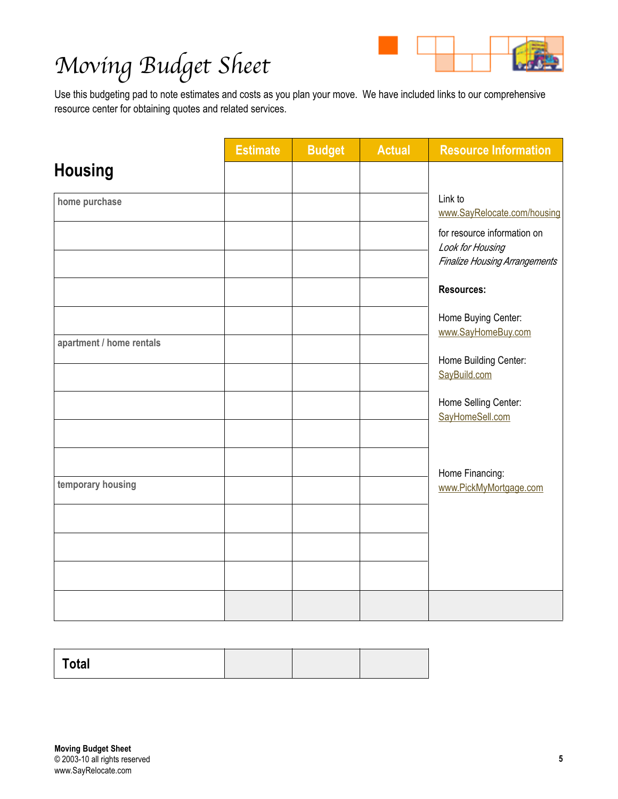

|                          | <b>Estimate</b> | <b>Budget</b> | <b>Actual</b> | <b>Resource Information</b>                     |
|--------------------------|-----------------|---------------|---------------|-------------------------------------------------|
| <b>Housing</b>           |                 |               |               |                                                 |
| home purchase            |                 |               |               | Link to<br>www.SayRelocate.com/housing          |
|                          |                 |               |               | for resource information on<br>Look for Housing |
|                          |                 |               |               | <b>Finalize Housing Arrangements</b>            |
|                          |                 |               |               | <b>Resources:</b>                               |
|                          |                 |               |               | Home Buying Center:<br>www.SayHomeBuy.com       |
| apartment / home rentals |                 |               |               | Home Building Center:                           |
|                          |                 |               |               | SayBuild.com                                    |
|                          |                 |               |               | Home Selling Center:<br>SayHomeSell.com         |
|                          |                 |               |               |                                                 |
|                          |                 |               |               | Home Financing:                                 |
| temporary housing        |                 |               |               | www.PickMyMortgage.com                          |
|                          |                 |               |               |                                                 |
|                          |                 |               |               |                                                 |
|                          |                 |               |               |                                                 |
|                          |                 |               |               |                                                 |

| Total |  |  |
|-------|--|--|
|       |  |  |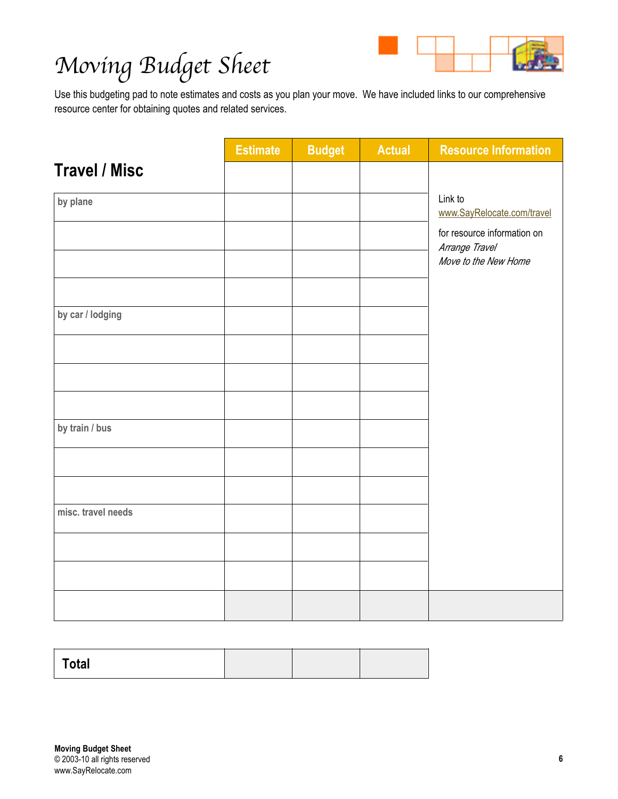

|                      | <b>Estimate</b> | <b>Budget</b> | <b>Actual</b> | <b>Resource Information</b>                   |
|----------------------|-----------------|---------------|---------------|-----------------------------------------------|
|                      |                 |               |               |                                               |
| <b>Travel / Misc</b> |                 |               |               |                                               |
| by plane             |                 |               |               | Link to<br>www.SayRelocate.com/travel         |
|                      |                 |               |               | for resource information on<br>Arrange Travel |
|                      |                 |               |               | Move to the New Home                          |
|                      |                 |               |               |                                               |
| by car / lodging     |                 |               |               |                                               |
|                      |                 |               |               |                                               |
|                      |                 |               |               |                                               |
|                      |                 |               |               |                                               |
| by train / bus       |                 |               |               |                                               |
|                      |                 |               |               |                                               |
|                      |                 |               |               |                                               |
| misc. travel needs   |                 |               |               |                                               |
|                      |                 |               |               |                                               |
|                      |                 |               |               |                                               |
|                      |                 |               |               |                                               |

| Total |  |  |
|-------|--|--|
|       |  |  |